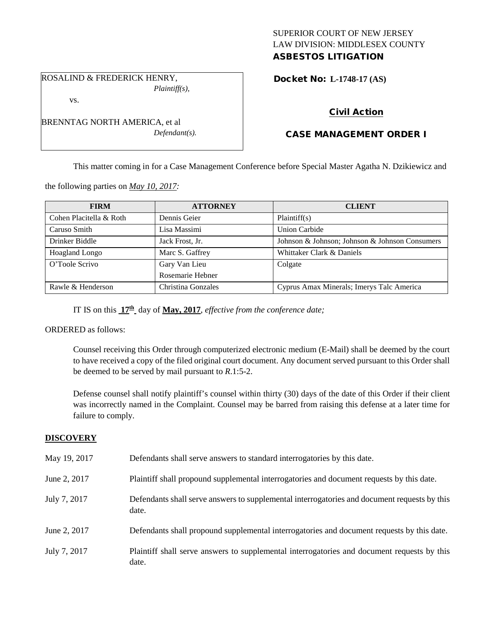## SUPERIOR COURT OF NEW JERSEY LAW DIVISION: MIDDLESEX COUNTY ASBESTOS LITIGATION

ROSALIND & FREDERICK HENRY, *Plaintiff(s),*

vs.

BRENNTAG NORTH AMERICA, et al *Defendant(s).* Docket No: **L-1748-17 (AS)** 

# Civil Action

# CASE MANAGEMENT ORDER I

This matter coming in for a Case Management Conference before Special Master Agatha N. Dzikiewicz and

the following parties on *May 10, 2017:*

| <b>FIRM</b>             | <b>ATTORNEY</b>    | <b>CLIENT</b>                                  |
|-------------------------|--------------------|------------------------------------------------|
| Cohen Placitella & Roth | Dennis Geier       | Plaintiff(s)                                   |
| Caruso Smith            | Lisa Massimi       | Union Carbide                                  |
| Drinker Biddle          | Jack Frost, Jr.    | Johnson & Johnson; Johnson & Johnson Consumers |
| Hoagland Longo          | Marc S. Gaffrey    | Whittaker Clark & Daniels                      |
| O'Toole Scrivo          | Gary Van Lieu      | Colgate                                        |
|                         | Rosemarie Hebner   |                                                |
| Rawle & Henderson       | Christina Gonzales | Cyprus Amax Minerals; Imerys Talc America      |

IT IS on this **17th** day of **May, 2017**, *effective from the conference date;*

ORDERED as follows:

Counsel receiving this Order through computerized electronic medium (E-Mail) shall be deemed by the court to have received a copy of the filed original court document. Any document served pursuant to this Order shall be deemed to be served by mail pursuant to *R*.1:5-2.

Defense counsel shall notify plaintiff's counsel within thirty (30) days of the date of this Order if their client was incorrectly named in the Complaint. Counsel may be barred from raising this defense at a later time for failure to comply.

## **DISCOVERY**

| May 19, 2017 | Defendants shall serve answers to standard interrogatories by this date.                              |
|--------------|-------------------------------------------------------------------------------------------------------|
| June 2, 2017 | Plaintiff shall propound supplemental interrogatories and document requests by this date.             |
| July 7, 2017 | Defendants shall serve answers to supplemental interrogatories and document requests by this<br>date. |
| June 2, 2017 | Defendants shall propound supplemental interrogatories and document requests by this date.            |
| July 7, 2017 | Plaintiff shall serve answers to supplemental interrogatories and document requests by this<br>date.  |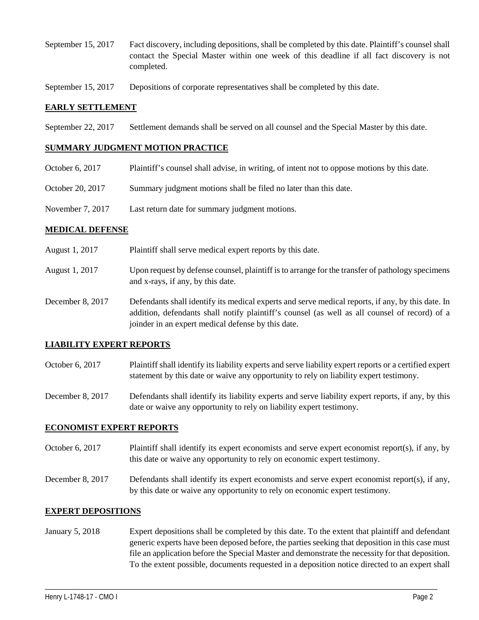- September 15, 2017 Fact discovery, including depositions, shall be completed by this date. Plaintiff's counsel shall contact the Special Master within one week of this deadline if all fact discovery is not completed.
- September 15, 2017 Depositions of corporate representatives shall be completed by this date.

### **EARLY SETTLEMENT**

September 22, 2017 Settlement demands shall be served on all counsel and the Special Master by this date.

### **SUMMARY JUDGMENT MOTION PRACTICE**

- October 6, 2017 Plaintiff's counsel shall advise, in writing, of intent not to oppose motions by this date.
- October 20, 2017 Summary judgment motions shall be filed no later than this date.
- November 7, 2017 Last return date for summary judgment motions.

### **MEDICAL DEFENSE**

- August 1, 2017 Plaintiff shall serve medical expert reports by this date.
- August 1, 2017 Upon request by defense counsel, plaintiff is to arrange for the transfer of pathology specimens and x-rays, if any, by this date.
- December 8, 2017 Defendants shall identify its medical experts and serve medical reports, if any, by this date. In addition, defendants shall notify plaintiff's counsel (as well as all counsel of record) of a joinder in an expert medical defense by this date.

## **LIABILITY EXPERT REPORTS**

October 6, 2017 Plaintiff shall identify its liability experts and serve liability expert reports or a certified expert statement by this date or waive any opportunity to rely on liability expert testimony.

December 8, 2017 Defendants shall identify its liability experts and serve liability expert reports, if any, by this date or waive any opportunity to rely on liability expert testimony.

#### **ECONOMIST EXPERT REPORTS**

October 6, 2017 Plaintiff shall identify its expert economists and serve expert economist report(s), if any, by this date or waive any opportunity to rely on economic expert testimony.

December 8, 2017 Defendants shall identify its expert economists and serve expert economist report(s), if any, by this date or waive any opportunity to rely on economic expert testimony.

#### **EXPERT DEPOSITIONS**

January 5, 2018 Expert depositions shall be completed by this date. To the extent that plaintiff and defendant generic experts have been deposed before, the parties seeking that deposition in this case must file an application before the Special Master and demonstrate the necessity for that deposition. To the extent possible, documents requested in a deposition notice directed to an expert shall

\_\_\_\_\_\_\_\_\_\_\_\_\_\_\_\_\_\_\_\_\_\_\_\_\_\_\_\_\_\_\_\_\_\_\_\_\_\_\_\_\_\_\_\_\_\_\_\_\_\_\_\_\_\_\_\_\_\_\_\_\_\_\_\_\_\_\_\_\_\_\_\_\_\_\_\_\_\_\_\_\_\_\_\_\_\_\_\_\_\_\_\_\_\_\_\_\_\_\_\_\_\_\_\_\_\_\_\_\_\_